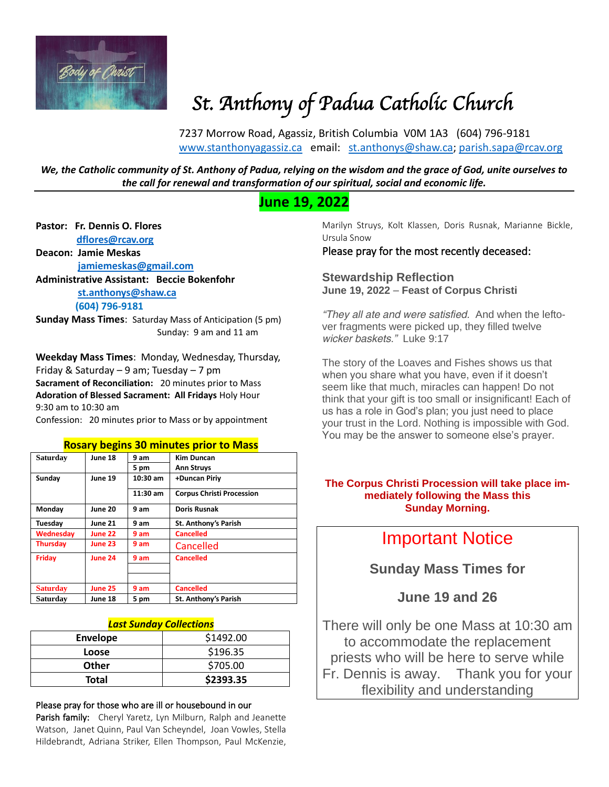

# *St. Anthony of Padua Catholic Church*

7237 Morrow Road, Agassiz, British Columbia V0M 1A3 (604) 796-9181 [www.stanthonyagassiz.ca](http://www.stanthonyagassiz.ca/) email: [st.anthonys@shaw.ca;](mailto:st.anthonys@shaw.ca) [parish.sapa@rcav.org](mailto:parish.sapa@rcav.org) 

*We, the Catholic community of St. Anthony of Padua, relying on the wisdom and the grace of God, unite ourselves to the call for renewal and transformation of our spiritual, social and economic life.*

# **June 19, 2022**

#### **Pastor: Fr. Dennis O. Flores**

 **[dflores@rcav.org](mailto:dflores@rcav.org)**

#### **Deacon: Jamie Meskas [jamiemeskas@gmail.com](mailto:jamiemeskas@gmail.com)**

**Administrative Assistant: Beccie Bokenfohr**

 **[st.anthonys@shaw.ca](mailto:st.anthonys@shaw.ca) (604) 796-9181**

**Sunday Mass Times**: Saturday Mass of Anticipation (5 pm) Sunday: 9 am and 11 am

**Weekday Mass Times**: Monday, Wednesday, Thursday, Friday & Saturday – 9 am; Tuesday – 7 pm **Sacrament of Reconciliation:** 20 minutes prior to Mass **Adoration of Blessed Sacrament: All Fridays** Holy Hour 9:30 am to 10:30 am

#### Confession: 20 minutes prior to Mass or by appointment

#### **Rosary begins 30 minutes prior to Mass**

| <b>Saturday</b> | June 18        | 9 am       | <b>Kim Duncan</b>                |
|-----------------|----------------|------------|----------------------------------|
|                 |                | 5 pm       | <b>Ann Struys</b>                |
| Sunday          | June 19        | $10:30$ am | +Duncan Piriy                    |
|                 |                | 11:30 am   | <b>Corpus Christi Procession</b> |
| Monday          | June 20        | 9 am       | <b>Doris Rusnak</b>              |
| Tuesday         | <b>June 21</b> | 9 am       | <b>St. Anthony's Parish</b>      |
| Wednesday       | <b>June 22</b> | 9 am       | <b>Cancelled</b>                 |
| <b>Thursday</b> | <b>June 23</b> | 9 am       | Cancelled                        |
| Friday          | June 24        | 9 am       | <b>Cancelled</b>                 |
|                 |                |            |                                  |
| <b>Saturday</b> | <b>June 25</b> | 9 am       | <b>Cancelled</b>                 |
| Saturday        | June 18        | 5 pm       | St. Anthony's Parish             |

#### *Last Sunday Collections*

| <b>Envelope</b> | \$1492.00 |
|-----------------|-----------|
| Loose           | \$196.35  |
| <b>Other</b>    | \$705.00  |
| <b>Total</b>    | \$2393.35 |

#### Please pray for those who are ill or housebound in our

Parish family: Cheryl Yaretz, Lyn Milburn, Ralph and Jeanette Watson, Janet Quinn, Paul Van Scheyndel, Joan Vowles, Stella Hildebrandt, Adriana Striker, Ellen Thompson, Paul McKenzie, Marilyn Struys, Kolt Klassen, Doris Rusnak, Marianne Bickle, Ursula Snow

#### Please pray for the most recently deceased:

**Stewardship Reflection June 19, 2022** – **Feast of Corpus Christi**

*"They all ate and were satisfied. And when the leftover fragments were picked up, they filled twelve wicker baskets." Luke 9:17*

The story of the Loaves and Fishes shows us that when you share what you have, even if it doesn't seem like that much, miracles can happen! Do not think that your gift is too small or insignificant! Each of us has a role in God's plan; you just need to place your trust in the Lord. Nothing is impossible with God. You may be the answer to someone else's prayer.

#### **The Corpus Christi Procession will take place immediately following the Mass this Sunday Morning.**

# Important Notice

**Sunday Mass Times for** 

## **June 19 and 26**

There will only be one Mass at 10:30 am to accommodate the replacement priests who will be here to serve while Fr. Dennis is away. Thank you for your flexibility and understanding